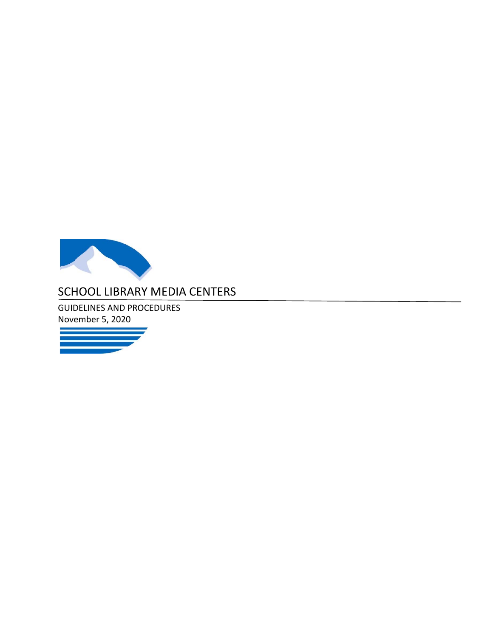

# SCHOOL LIBRARY MEDIA CENTERS

GUIDELINES AND PROCEDURES November 5, 2020

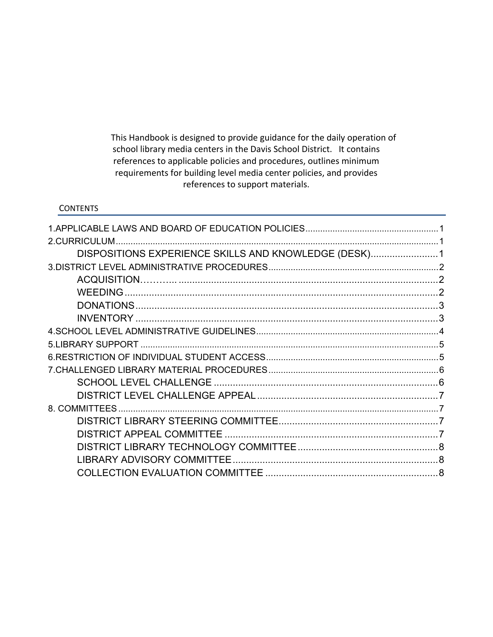This Handbook is designed to provide guidance for the daily operation of school library media centers in the Davis School District. It contains references to applicable policies and procedures, outlines minimum requirements for building level media center policies, and provides references to support materials.

#### **CONTENTS**

| DISPOSITIONS EXPERIENCE SKILLS AND KNOWLEDGE (DESK) 1 |  |
|-------------------------------------------------------|--|
|                                                       |  |
|                                                       |  |
| WEEDING                                               |  |
|                                                       |  |
|                                                       |  |
|                                                       |  |
|                                                       |  |
|                                                       |  |
|                                                       |  |
|                                                       |  |
|                                                       |  |
|                                                       |  |
|                                                       |  |
|                                                       |  |
|                                                       |  |
|                                                       |  |
|                                                       |  |
|                                                       |  |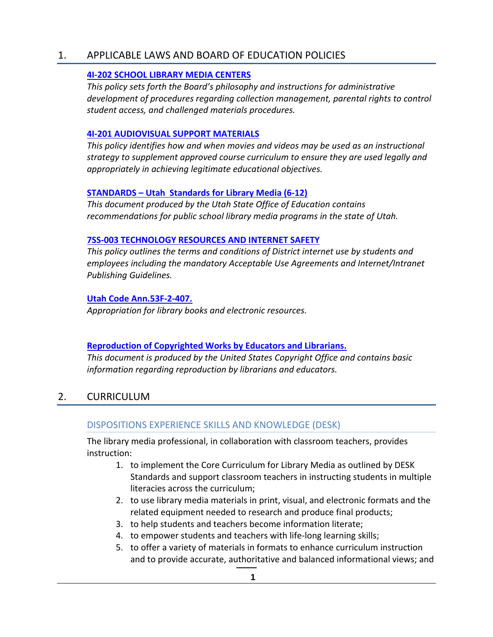#### 1. APPLICABLE LAWS AND BOARD OF EDUCATION POLICIES

#### **4I‐202 SCHOOL LIBRARY MEDIA CENTERS**

*This policy sets forth the Board's philosophy and instructions for administrative development of procedures regarding collection management, parental rights to control student access, and challenged materials procedures.* 

#### **4I‐201 AUDIOVISUAL SUPPORT MATERIALS**

*This policy identifies how and when movies and videos may be used as an instructional strategy to supplement approved course curriculum to ensure they are used legally and appropriately in achieving legitimate educational objectives.* 

#### **STANDARDS – Utah Standards for Library Media (6‐12)**

*This document produced by the Utah State Office of Education contains recommendations for public school library media programs in the state of Utah.* 

#### **7SS‐003 TECHNOLOGY RESOURCES AND INTERNET SAFETY**

*This policy outlines the terms and conditions of District internet use by students and employees including the mandatory Acceptable Use Agreements and Internet/Intranet Publishing Guidelines.* 

#### **Utah Code Ann.53F‐2‐407.**

*Appropriation for library books and electronic resources.* 

#### **Reproduction of Copyrighted Works by Educators and Librarians.**

*This document is produced by the United States Copyright Office and contains basic information regarding reproduction by librarians and educators.*

# 2. CURRICULUM

#### DISPOSITIONS EXPERIENCE SKILLS AND KNOWLEDGE (DESK)

The library media professional, in collaboration with classroom teachers, provides instruction:

- 1. to implement the Core Curriculum for Library Media as outlined by DESK Standards and support classroom teachers in instructing students in multiple literacies across the curriculum;
- 2. to use library media materials in print, visual, and electronic formats and the related equipment needed to research and produce final products;
- 3. to help students and teachers become information literate;
- 4. to empower students and teachers with life-long learning skills;
- 5. to offer a variety of materials in formats to enhance curriculum instruction and to provide accurate, authoritative and balanced informational views; and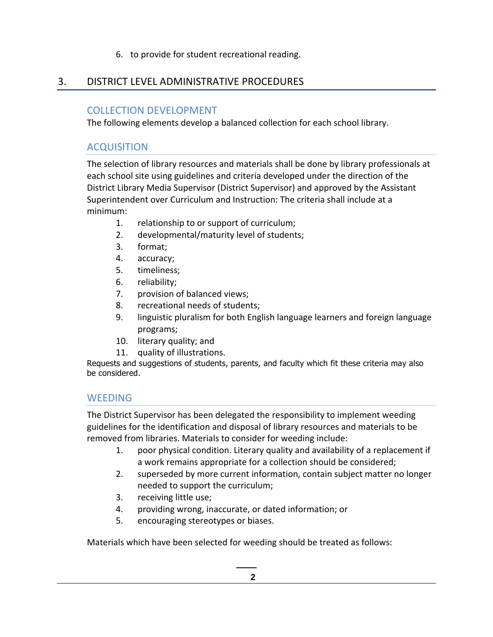#### 6. to provide for student recreational reading.

### 3. DISTRICT LEVEL ADMINISTRATIVE PROCEDURES

### COLLECTION DEVELOPMENT

The following elements develop a balanced collection for each school library.

### ACQUISITION

The selection of library resources and materials shall be done by library professionals at each school site using guidelines and criteria developed under the direction of the District Library Media Supervisor (District Supervisor) and approved by the Assistant Superintendent over Curriculum and Instruction: The criteria shall include at a minimum:

- 1. relationship to or support of curriculum;
- 2. developmental/maturity level of students;
- 3. format;
- 4. accuracy;
- 5. timeliness;
- 6. reliability;
- 7. provision of balanced views;
- 8. recreational needs of students;
- 9. linguistic pluralism for both English language learners and foreign language programs;
- 10. literary quality; and
- 11. quality of illustrations.

Requests and suggestions of students, parents, and faculty which fit these criteria may also be considered.

### **WEEDING**

The District Supervisor has been delegated the responsibility to implement weeding guidelines for the identification and disposal of library resources and materials to be removed from libraries. Materials to consider for weeding include:

- 1. poor physical condition. Literary quality and availability of a replacement if a work remains appropriate for a collection should be considered;
- 2. superseded by more current information, contain subject matter no longer needed to support the curriculum;
- 3. receiving little use;
- 4. providing wrong, inaccurate, or dated information; or
- 5. encouraging stereotypes or biases.

Materials which have been selected for weeding should be treated as follows: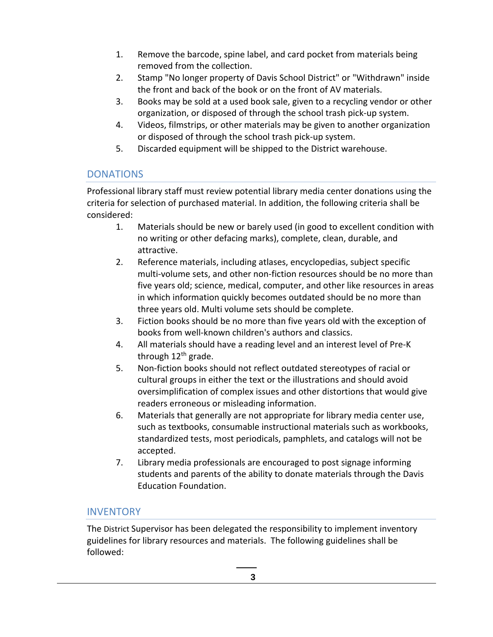- 1. Remove the barcode, spine label, and card pocket from materials being removed from the collection.
- 2. Stamp "No longer property of Davis School District" or "Withdrawn" inside the front and back of the book or on the front of AV materials.
- 3. Books may be sold at a used book sale, given to a recycling vendor or other organization, or disposed of through the school trash pick‐up system.
- 4. Videos, filmstrips, or other materials may be given to another organization or disposed of through the school trash pick‐up system.
- 5. Discarded equipment will be shipped to the District warehouse.

### **DONATIONS**

Professional library staff must review potential library media center donations using the criteria for selection of purchased material. In addition, the following criteria shall be considered:

- 1. Materials should be new or barely used (in good to excellent condition with no writing or other defacing marks), complete, clean, durable, and attractive.
- 2. Reference materials, including atlases, encyclopedias, subject specific multi-volume sets, and other non-fiction resources should be no more than five years old; science, medical, computer, and other like resources in areas in which information quickly becomes outdated should be no more than three years old. Multi volume sets should be complete.
- 3. Fiction books should be no more than five years old with the exception of books from well‐known children's authors and classics.
- 4. All materials should have a reading level and an interest level of Pre‐K through  $12<sup>th</sup>$  grade.
- 5. Non‐fiction books should not reflect outdated stereotypes of racial or cultural groups in either the text or the illustrations and should avoid oversimplification of complex issues and other distortions that would give readers erroneous or misleading information.
- 6. Materials that generally are not appropriate for library media center use, such as textbooks, consumable instructional materials such as workbooks, standardized tests, most periodicals, pamphlets, and catalogs will not be accepted.
- 7. Library media professionals are encouraged to post signage informing students and parents of the ability to donate materials through the Davis Education Foundation.

### **INVENTORY**

The District Supervisor has been delegated the responsibility to implement inventory guidelines for library resources and materials. The following guidelines shall be followed: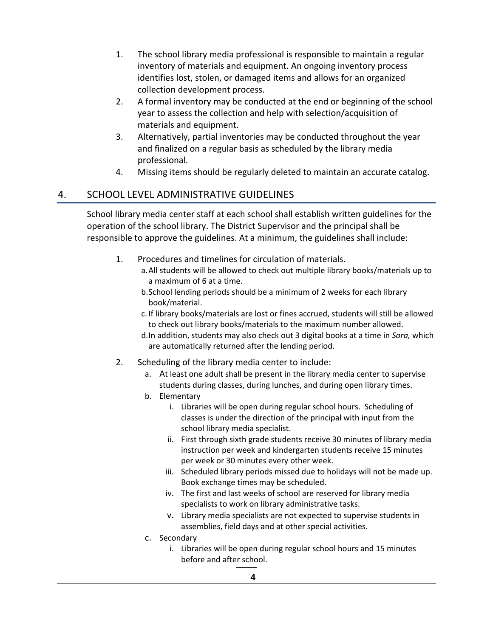- 1. The school library media professional is responsible to maintain a regular inventory of materials and equipment. An ongoing inventory process identifies lost, stolen, or damaged items and allows for an organized collection development process.
- 2. A formal inventory may be conducted at the end or beginning of the school year to assess the collection and help with selection/acquisition of materials and equipment.
- 3. Alternatively, partial inventories may be conducted throughout the year and finalized on a regular basis as scheduled by the library media professional.
- 4. Missing items should be regularly deleted to maintain an accurate catalog.

### 4. SCHOOL LEVEL ADMINISTRATIVE GUIDELINES

School library media center staff at each school shall establish written guidelines for the operation of the school library. The District Supervisor and the principal shall be responsible to approve the guidelines. At a minimum, the guidelines shall include:

- 1. Procedures and timelines for circulation of materials.
	- a.All students will be allowed to check out multiple library books/materials up to a maximum of 6 at a time.
		- b.School lending periods should be a minimum of 2 weeks for each library book/material.
		- c. If library books/materials are lost or fines accrued, students will still be allowed to check out library books/materials to the maximum number allowed.
		- d.In addition, students may also check out 3 digital books at a time in *Sora,* which are automatically returned after the lending period.
- 2. Scheduling of the library media center to include:
	- a. At least one adult shall be present in the library media center to supervise students during classes, during lunches, and during open library times.
	- b. Elementary
		- i. Libraries will be open during regular school hours. Scheduling of classes is under the direction of the principal with input from the school library media specialist.
		- ii. First through sixth grade students receive 30 minutes of library media instruction per week and kindergarten students receive 15 minutes per week or 30 minutes every other week.
		- iii. Scheduled library periods missed due to holidays will not be made up. Book exchange times may be scheduled.
		- iv. The first and last weeks of school are reserved for library media specialists to work on library administrative tasks.
		- v. Library media specialists are not expected to supervise students in assemblies, field days and at other special activities.
	- c. Secondary
		- i. Libraries will be open during regular school hours and 15 minutes before and after school.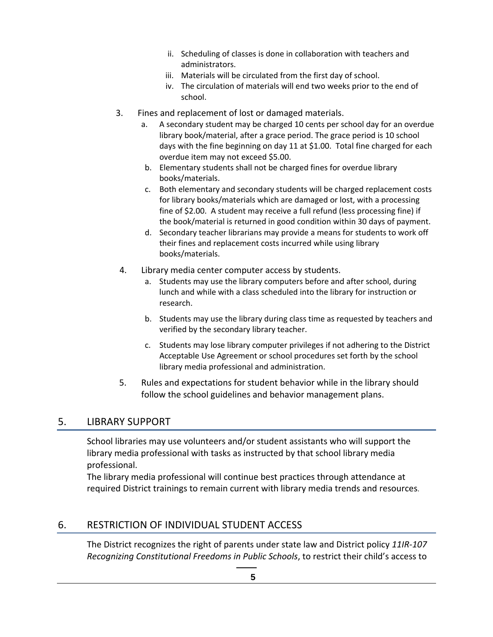- ii. Scheduling of classes is done in collaboration with teachers and administrators.
- iii. Materials will be circulated from the first day of school.
- iv. The circulation of materials will end two weeks prior to the end of school.
- 3. Fines and replacement of lost or damaged materials.
	- a. A secondary student may be charged 10 cents per school day for an overdue library book/material, after a grace period. The grace period is 10 school days with the fine beginning on day 11 at \$1.00. Total fine charged for each overdue item may not exceed \$5.00.
	- b. Elementary students shall not be charged fines for overdue library books/materials.
	- c. Both elementary and secondary students will be charged replacement costs for library books/materials which are damaged or lost, with a processing fine of \$2.00. A student may receive a full refund (less processing fine) if the book/material is returned in good condition within 30 days of payment.
	- d. Secondary teacher librarians may provide a means for students to work off their fines and replacement costs incurred while using library books/materials.
- 4. Library media center computer access by students.
	- a. Students may use the library computers before and after school, during lunch and while with a class scheduled into the library for instruction or research.
	- b. Students may use the library during class time as requested by teachers and verified by the secondary library teacher.
	- c. Students may lose library computer privileges if not adhering to the District Acceptable Use Agreement or school procedures set forth by the school library media professional and administration.
- 5. Rules and expectations for student behavior while in the library should follow the school guidelines and behavior management plans.

#### 5. LIBRARY SUPPORT

School libraries may use volunteers and/or student assistants who will support the library media professional with tasks as instructed by that school library media professional.

The library media professional will continue best practices through attendance at required District trainings to remain current with library media trends and resources.

#### 6. RESTRICTION OF INDIVIDUAL STUDENT ACCESS

The District recognizes the right of parents under state law and District policy *11IR‐107 Recognizing Constitutional Freedoms in Public Schools*, to restrict their child's access to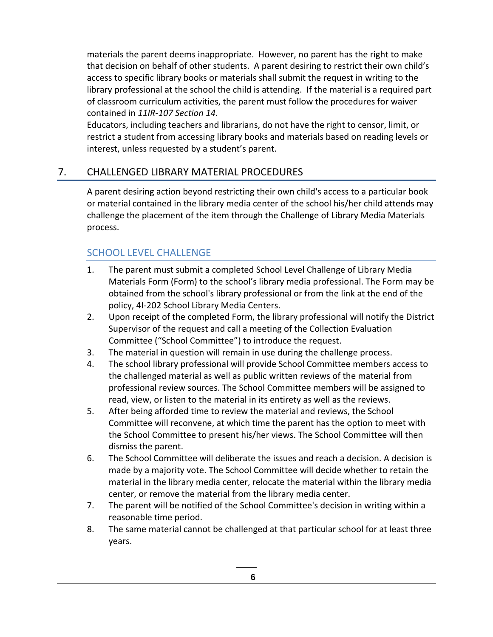materials the parent deems inappropriate. However, no parent has the right to make that decision on behalf of other students. A parent desiring to restrict their own child's access to specific library books or materials shall submit the request in writing to the library professional at the school the child is attending. If the material is a required part of classroom curriculum activities, the parent must follow the procedures for waiver contained in *11IR‐107 Section 14.*

Educators, including teachers and librarians, do not have the right to censor, limit, or restrict a student from accessing library books and materials based on reading levels or interest, unless requested by a student's parent.

### 7. CHALLENGED LIBRARY MATERIAL PROCEDURES

A parent desiring action beyond restricting their own child's access to a particular book or material contained in the library media center of the school his/her child attends may challenge the placement of the item through the Challenge of Library Media Materials process.

### SCHOOL LEVEL CHALLENGE

- 1. The parent must submit a completed School Level Challenge of Library Media Materials Form (Form) to the school's library media professional. The Form may be obtained from the school's library professional or from the link at the end of the policy, 4I‐202 School Library Media Centers.
- 2. Upon receipt of the completed Form, the library professional will notify the District Supervisor of the request and call a meeting of the Collection Evaluation Committee ("School Committee") to introduce the request.
- 3. The material in question will remain in use during the challenge process.
- 4. The school library professional will provide School Committee members access to the challenged material as well as public written reviews of the material from professional review sources. The School Committee members will be assigned to read, view, or listen to the material in its entirety as well as the reviews.
- 5. After being afforded time to review the material and reviews, the School Committee will reconvene, at which time the parent has the option to meet with the School Committee to present his/her views. The School Committee will then dismiss the parent.
- 6. The School Committee will deliberate the issues and reach a decision. A decision is made by a majority vote. The School Committee will decide whether to retain the material in the library media center, relocate the material within the library media center, or remove the material from the library media center.
- 7. The parent will be notified of the School Committee's decision in writing within a reasonable time period.
- 8. The same material cannot be challenged at that particular school for at least three years.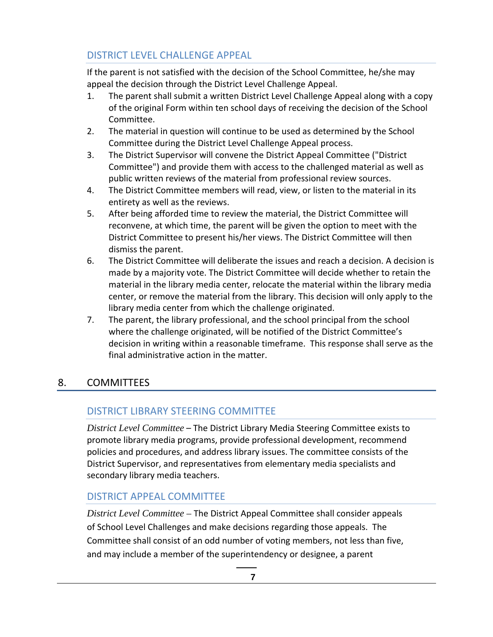# DISTRICT LEVEL CHALLENGE APPEAL

If the parent is not satisfied with the decision of the School Committee, he/she may appeal the decision through the District Level Challenge Appeal.

- 1. The parent shall submit a written District Level Challenge Appeal along with a copy of the original Form within ten school days of receiving the decision of the School Committee.
- 2. The material in question will continue to be used as determined by the School Committee during the District Level Challenge Appeal process.
- 3. The District Supervisor will convene the District Appeal Committee ("District Committee") and provide them with access to the challenged material as well as public written reviews of the material from professional review sources.
- 4. The District Committee members will read, view, or listen to the material in its entirety as well as the reviews.
- 5. After being afforded time to review the material, the District Committee will reconvene, at which time, the parent will be given the option to meet with the District Committee to present his/her views. The District Committee will then dismiss the parent.
- 6. The District Committee will deliberate the issues and reach a decision. A decision is made by a majority vote. The District Committee will decide whether to retain the material in the library media center, relocate the material within the library media center, or remove the material from the library. This decision will only apply to the library media center from which the challenge originated.
- 7. The parent, the library professional, and the school principal from the school where the challenge originated, will be notified of the District Committee's decision in writing within a reasonable timeframe. This response shall serve as the final administrative action in the matter.

# 8. COMMITTEES

# DISTRICT LIBRARY STEERING COMMITTEE

*District Level Committee –* The District Library Media Steering Committee exists to promote library media programs, provide professional development, recommend policies and procedures, and address library issues. The committee consists of the District Supervisor, and representatives from elementary media specialists and secondary library media teachers.

# DISTRICT APPEAL COMMITTEE

*District Level Committee –* The District Appeal Committee shall consider appeals of School Level Challenges and make decisions regarding those appeals. The Committee shall consist of an odd number of voting members, not less than five, and may include a member of the superintendency or designee, a parent